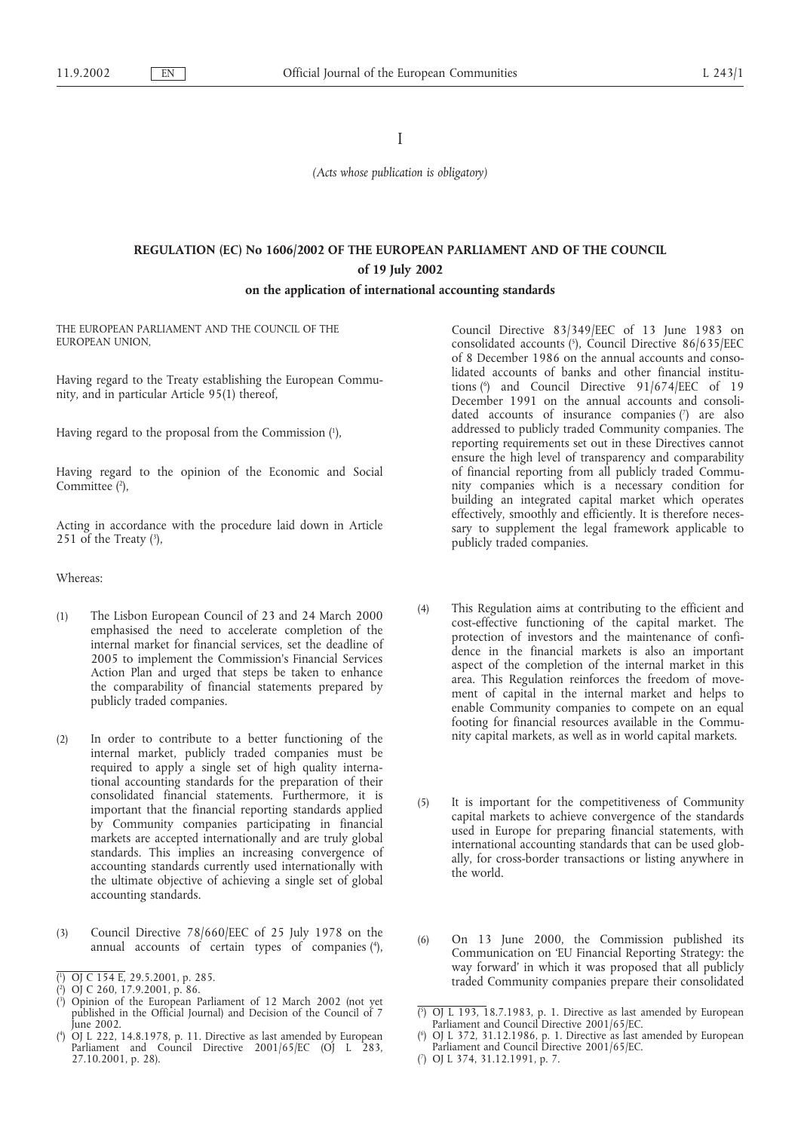I

*(Acts whose publication is obligatory)*

# **REGULATION (EC) No 1606/2002 OF THE EUROPEAN PARLIAMENT AND OF THE COUNCIL of 19 July 2002**

# **on the application of international accounting standards**

THE EUROPEAN PARLIAMENT AND THE COUNCIL OF THE EUROPEAN UNION,

Having regard to the Treaty establishing the European Community, and in particular Article 95(1) thereof,

Having regard to the proposal from the Commission (1 ),

Having regard to the opinion of the Economic and Social Committee (2),

Acting in accordance with the procedure laid down in Article 251 of the Treaty  $(3)$ ,

Whereas:

- (1) The Lisbon European Council of 23 and 24 March 2000 emphasised the need to accelerate completion of the internal market for financial services, set the deadline of 2005 to implement the Commission's Financial Services Action Plan and urged that steps be taken to enhance the comparability of financial statements prepared by publicly traded companies.
- (2) In order to contribute to a better functioning of the internal market, publicly traded companies must be required to apply a single set of high quality international accounting standards for the preparation of their consolidated financial statements. Furthermore, it is important that the financial reporting standards applied by Community companies participating in financial markets are accepted internationally and are truly global standards. This implies an increasing convergence of accounting standards currently used internationally with the ultimate objective of achieving a single set of global accounting standards.
- (3) Council Directive 78/660/EEC of 25 July 1978 on the annual accounts of certain types of companies (4 ),

- ( 3 ) Opinion of the European Parliament of 12 March 2002 (not yet published in the Official Journal) and Decision of the Council of 7 June 2002.
- ( 4 ) OJ L 222, 14.8.1978, p. 11. Directive as last amended by European Parliament and Council Directive 2001/65/EC (OJ L 283, 27.10.2001, p. 28).

Council Directive 83/349/EEC of 13 June 1983 on consolidated accounts (5 ), Council Directive 86/635/EEC of 8 December 1986 on the annual accounts and consolidated accounts of banks and other financial institutions (6 ) and Council Directive 91/674/EEC of 19 December 1991 on the annual accounts and consolidated accounts of insurance companies (7 ) are also addressed to publicly traded Community companies. The reporting requirements set out in these Directives cannot ensure the high level of transparency and comparability of financial reporting from all publicly traded Community companies which is a necessary condition for building an integrated capital market which operates effectively, smoothly and efficiently. It is therefore necessary to supplement the legal framework applicable to publicly traded companies.

- (4) This Regulation aims at contributing to the efficient and cost-effective functioning of the capital market. The protection of investors and the maintenance of confidence in the financial markets is also an important aspect of the completion of the internal market in this area. This Regulation reinforces the freedom of movement of capital in the internal market and helps to enable Community companies to compete on an equal footing for financial resources available in the Community capital markets, as well as in world capital markets.
- (5) It is important for the competitiveness of Community capital markets to achieve convergence of the standards used in Europe for preparing financial statements, with international accounting standards that can be used globally, for cross-border transactions or listing anywhere in the world.
- (6) On 13 June 2000, the Commission published its Communication on 'EU Financial Reporting Strategy: the way forward' in which it was proposed that all publicly traded Community companies prepare their consolidated

<sup>(</sup> 1 ) OJ C 154 E, 29.5.2001, p. 285.

<sup>(</sup> 2 ) OJ C 260, 17.9.2001, p. 86.

<sup>(</sup> 5 ) OJ L 193, 18.7.1983, p. 1. Directive as last amended by European Parliament and Council Directive 2001/65/EC.

<sup>(</sup> 6 ) OJ L 372, 31.12.1986, p. 1. Directive as last amended by European Parliament and Council Directive 2001/65/EC.

<sup>(</sup> 7 ) OJ L 374, 31.12.1991, p. 7.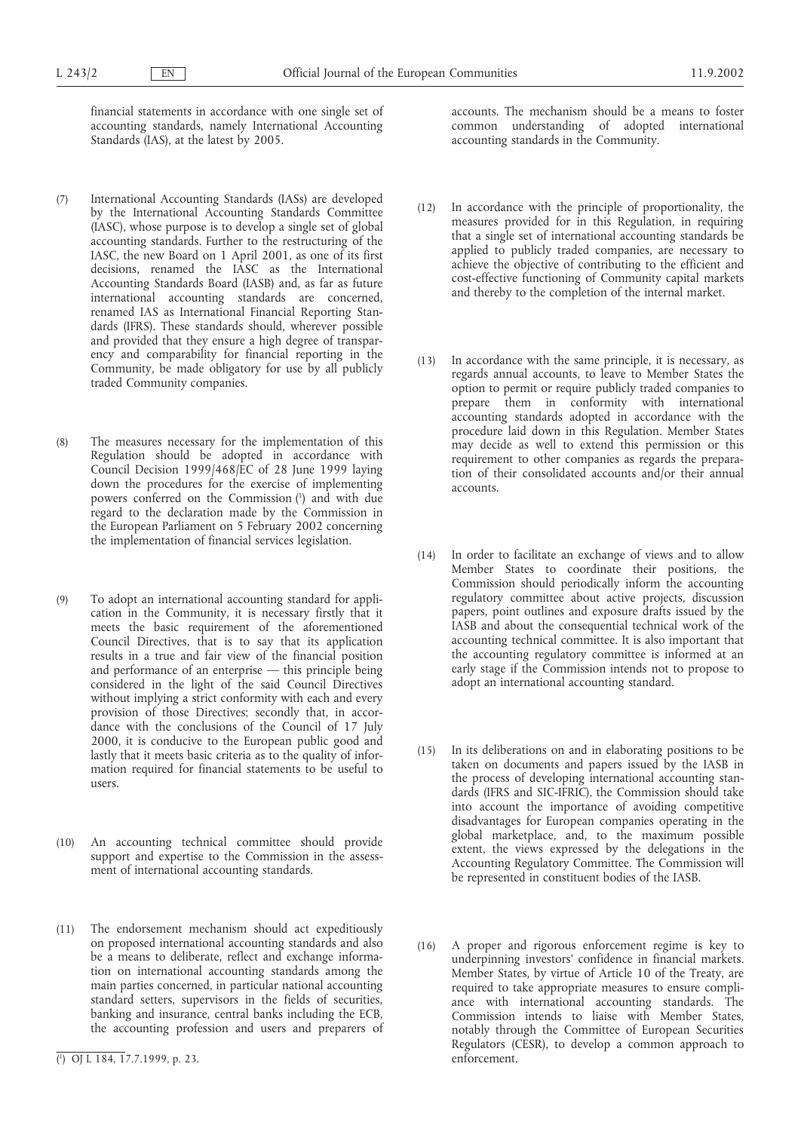financial statements in accordance with one single set of accounting standards, namely International Accounting Standards (IAS), at the latest by 2005.

- (7) International Accounting Standards (IASs) are developed by the International Accounting Standards Committee (IASC), whose purpose is to develop a single set of global accounting standards. Further to the restructuring of the IASC, the new Board on 1 April 2001, as one of its first decisions, renamed the IASC as the International Accounting Standards Board (IASB) and, as far as future international accounting standards are concerned, renamed IAS as International Financial Reporting Standards (IFRS). These standards should, wherever possible and provided that they ensure a high degree of transparency and comparability for financial reporting in the Community, be made obligatory for use by all publicly traded Community companies.
- (8) The measures necessary for the implementation of this Regulation should be adopted in accordance with Council Decision 1999/468/EC of 28 June 1999 laying down the procedures for the exercise of implementing powers conferred on the Commission (1 ) and with due regard to the declaration made by the Commission in the European Parliament on 5 February 2002 concerning the implementation of financial services legislation.
- (9) To adopt an international accounting standard for application in the Community, it is necessary firstly that it meets the basic requirement of the aforementioned Council Directives, that is to say that its application results in a true and fair view of the financial position and performance of an enterprise — this principle being considered in the light of the said Council Directives without implying a strict conformity with each and every provision of those Directives; secondly that, in accordance with the conclusions of the Council of 17 July 2000, it is conducive to the European public good and lastly that it meets basic criteria as to the quality of information required for financial statements to be useful to users.
- (10) An accounting technical committee should provide support and expertise to the Commission in the assessment of international accounting standards.
- (11) The endorsement mechanism should act expeditiously on proposed international accounting standards and also be a means to deliberate, reflect and exchange information on international accounting standards among the main parties concerned, in particular national accounting standard setters, supervisors in the fields of securities, banking and insurance, central banks including the ECB, the accounting profession and users and preparers of

accounts. The mechanism should be a means to foster common understanding of adopted international accounting standards in the Community.

- (12) In accordance with the principle of proportionality, the measures provided for in this Regulation, in requiring that a single set of international accounting standards be applied to publicly traded companies, are necessary to achieve the objective of contributing to the efficient and cost-effective functioning of Community capital markets and thereby to the completion of the internal market.
- (13) In accordance with the same principle, it is necessary, as regards annual accounts, to leave to Member States the option to permit or require publicly traded companies to prepare them in conformity with international accounting standards adopted in accordance with the procedure laid down in this Regulation. Member States may decide as well to extend this permission or this requirement to other companies as regards the preparation of their consolidated accounts and/or their annual accounts.
- (14) In order to facilitate an exchange of views and to allow Member States to coordinate their positions, the Commission should periodically inform the accounting regulatory committee about active projects, discussion papers, point outlines and exposure drafts issued by the IASB and about the consequential technical work of the accounting technical committee. It is also important that the accounting regulatory committee is informed at an early stage if the Commission intends not to propose to adopt an international accounting standard.
- (15) In its deliberations on and in elaborating positions to be taken on documents and papers issued by the IASB in the process of developing international accounting standards (IFRS and SIC-IFRIC), the Commission should take into account the importance of avoiding competitive disadvantages for European companies operating in the global marketplace, and, to the maximum possible extent, the views expressed by the delegations in the Accounting Regulatory Committee. The Commission will be represented in constituent bodies of the IASB.
- (16) A proper and rigorous enforcement regime is key to underpinning investors' confidence in financial markets. Member States, by virtue of Article 10 of the Treaty, are required to take appropriate measures to ensure compliance with international accounting standards. The Commission intends to liaise with Member States, notably through the Committee of European Securities Regulators (CESR), to develop a common approach to enforcement.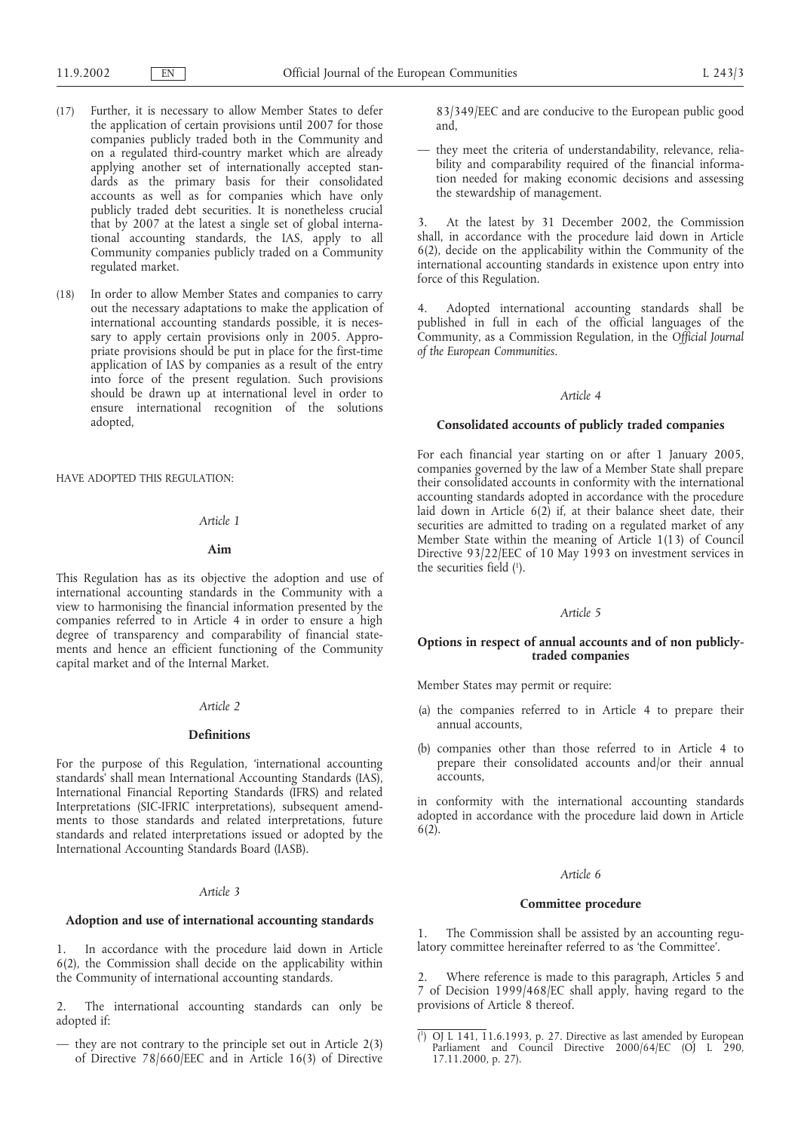- (17) Further, it is necessary to allow Member States to defer the application of certain provisions until 2007 for those companies publicly traded both in the Community and on a regulated third-country market which are already applying another set of internationally accepted standards as the primary basis for their consolidated accounts as well as for companies which have only publicly traded debt securities. It is nonetheless crucial that by 2007 at the latest a single set of global international accounting standards, the IAS, apply to all Community companies publicly traded on a Community regulated market.
- (18) In order to allow Member States and companies to carry out the necessary adaptations to make the application of international accounting standards possible, it is necessary to apply certain provisions only in 2005. Appropriate provisions should be put in place for the first-time application of IAS by companies as a result of the entry into force of the present regulation. Such provisions should be drawn up at international level in order to ensure international recognition of the solutions adopted,

HAVE ADOPTED THIS REGULATION:

## *Article 1*

## **Aim**

This Regulation has as its objective the adoption and use of international accounting standards in the Community with a view to harmonising the financial information presented by the companies referred to in Article 4 in order to ensure a high degree of transparency and comparability of financial statements and hence an efficient functioning of the Community capital market and of the Internal Market.

## *Article 2*

#### **Definitions**

For the purpose of this Regulation, 'international accounting standards' shall mean International Accounting Standards (IAS), International Financial Reporting Standards (IFRS) and related Interpretations (SIC-IFRIC interpretations), subsequent amendments to those standards and related interpretations, future standards and related interpretations issued or adopted by the International Accounting Standards Board (IASB).

## *Article 3*

#### **Adoption and use of international accounting standards**

1. In accordance with the procedure laid down in Article 6(2), the Commission shall decide on the applicability within the Community of international accounting standards.

2. The international accounting standards can only be adopted if:

— they are not contrary to the principle set out in Article 2(3) of Directive 78/660/EEC and in Article 16(3) of Directive 83/349/EEC and are conducive to the European public good and,

they meet the criteria of understandability, relevance, reliability and comparability required of the financial information needed for making economic decisions and assessing the stewardship of management.

3. At the latest by 31 December 2002, the Commission shall, in accordance with the procedure laid down in Article 6(2), decide on the applicability within the Community of the international accounting standards in existence upon entry into force of this Regulation.

4. Adopted international accounting standards shall be published in full in each of the official languages of the Community, as a Commission Regulation, in the *Official Journal of the European Communities*.

#### *Article 4*

#### **Consolidated accounts of publicly traded companies**

For each financial year starting on or after 1 January 2005, companies governed by the law of a Member State shall prepare their consolidated accounts in conformity with the international accounting standards adopted in accordance with the procedure laid down in Article  $6(2)$  if, at their balance sheet date, their securities are admitted to trading on a regulated market of any Member State within the meaning of Article 1(13) of Council Directive 93/22/EEC of 10 May 1993 on investment services in the securities field (1).

# *Article 5*

## **Options in respect of annual accounts and of non publiclytraded companies**

Member States may permit or require:

- (a) the companies referred to in Article 4 to prepare their annual accounts,
- (b) companies other than those referred to in Article 4 to prepare their consolidated accounts and/or their annual accounts,

in conformity with the international accounting standards adopted in accordance with the procedure laid down in Article 6(2).

#### *Article 6*

#### **Committee procedure**

1. The Commission shall be assisted by an accounting regulatory committee hereinafter referred to as 'the Committee'.

2. Where reference is made to this paragraph, Articles 5 and 7 of Decision 1999/468/EC shall apply, having regard to the provisions of Article 8 thereof.

<sup>(</sup> 1 ) OJ L 141, 11.6.1993, p. 27. Directive as last amended by European Parliament and Council Directive 2000/64/EC (OJ L 290, 17.11.2000, p. 27).